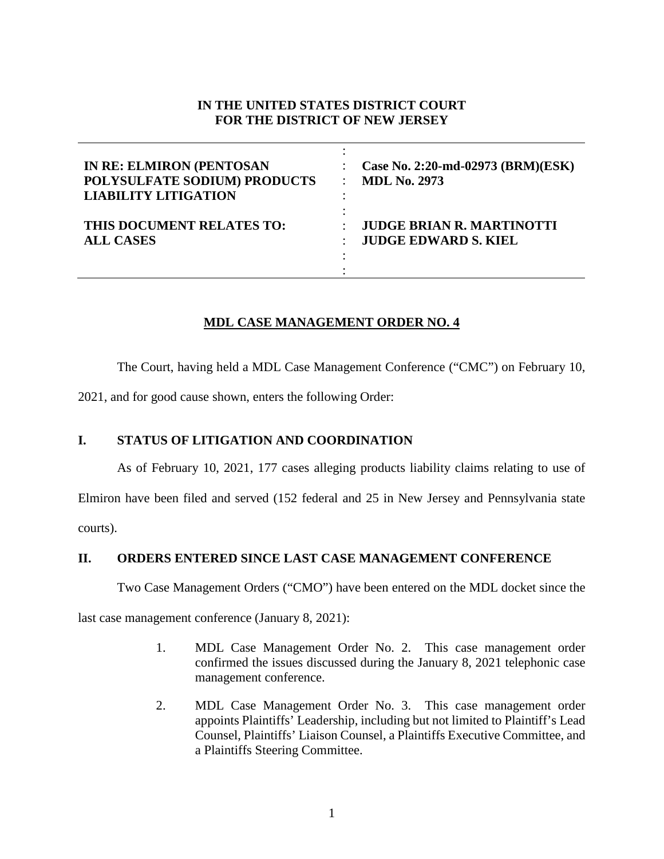# **IN THE UNITED STATES DISTRICT COURT FOR THE DISTRICT OF NEW JERSEY**

| <b>IN RE: ELMIRON (PENTOSAN</b> | Case No. 2:20-md-02973 (BRM)(ESK) |
|---------------------------------|-----------------------------------|
| POLYSULFATE SODIUM) PRODUCTS    | <b>MDL No. 2973</b>               |
| <b>LIABILITY LITIGATION</b>     | $\bullet$                         |
| THIS DOCUMENT RELATES TO:       | <b>JUDGE BRIAN R. MARTINOTTI</b>  |
| <b>ALL CASES</b>                | <b>JUDGE EDWARD S. KIEL</b>       |

# **MDL CASE MANAGEMENT ORDER NO. 4**

The Court, having held a MDL Case Management Conference ("CMC") on February 10,

2021, and for good cause shown, enters the following Order:

### **I. STATUS OF LITIGATION AND COORDINATION**

As of February 10, 2021, 177 cases alleging products liability claims relating to use of Elmiron have been filed and served (152 federal and 25 in New Jersey and Pennsylvania state courts).

**II. ORDERS ENTERED SINCE LAST CASE MANAGEMENT CONFERENCE**

Two Case Management Orders ("CMO") have been entered on the MDL docket since the

last case management conference (January 8, 2021):

- 1. MDL Case Management Order No. 2. This case management order confirmed the issues discussed during the January 8, 2021 telephonic case management conference.
- 2. MDL Case Management Order No. 3. This case management order appoints Plaintiffs' Leadership, including but not limited to Plaintiff's Lead Counsel, Plaintiffs' Liaison Counsel, a Plaintiffs Executive Committee, and a Plaintiffs Steering Committee.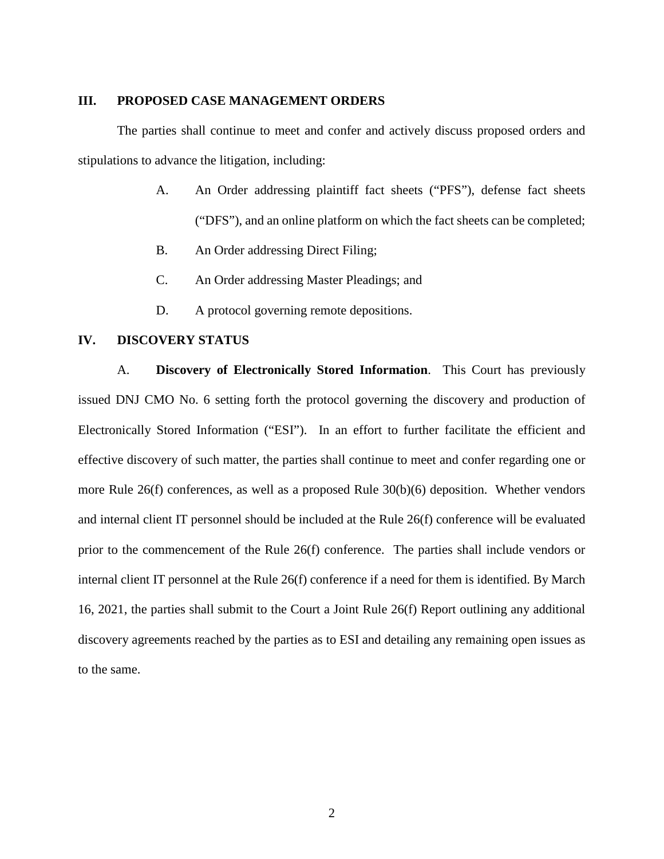#### **III. PROPOSED CASE MANAGEMENT ORDERS**

The parties shall continue to meet and confer and actively discuss proposed orders and stipulations to advance the litigation, including:

- A. An Order addressing plaintiff fact sheets ("PFS"), defense fact sheets ("DFS"), and an online platform on which the fact sheets can be completed;
- B. An Order addressing Direct Filing;
- C. An Order addressing Master Pleadings; and
- D. A protocol governing remote depositions.

#### **IV. DISCOVERY STATUS**

A. **Discovery of Electronically Stored Information**. This Court has previously issued DNJ CMO No. 6 setting forth the protocol governing the discovery and production of Electronically Stored Information ("ESI"). In an effort to further facilitate the efficient and effective discovery of such matter, the parties shall continue to meet and confer regarding one or more Rule 26(f) conferences, as well as a proposed Rule 30(b)(6) deposition. Whether vendors and internal client IT personnel should be included at the Rule 26(f) conference will be evaluated prior to the commencement of the Rule 26(f) conference. The parties shall include vendors or internal client IT personnel at the Rule 26(f) conference if a need for them is identified. By March 16, 2021, the parties shall submit to the Court a Joint Rule 26(f) Report outlining any additional discovery agreements reached by the parties as to ESI and detailing any remaining open issues as to the same.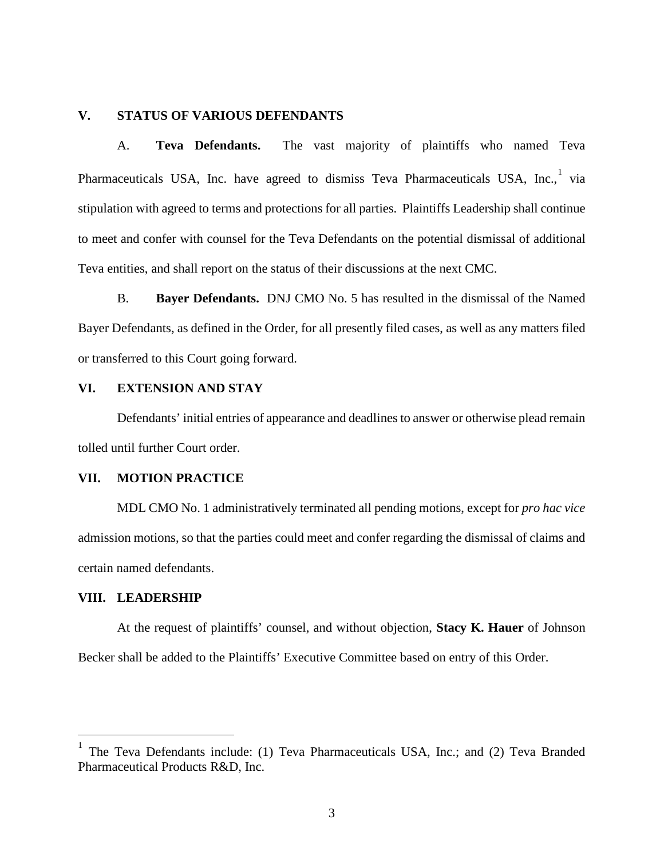### **V. STATUS OF VARIOUS DEFENDANTS**

A. **Teva Defendants.** The vast majority of plaintiffs who named Teva Pharmaceuticals USA, Inc. have agreed to dismiss Teva Pharmaceuticals USA, Inc.,<sup>[1](#page-2-0)</sup> via stipulation with agreed to terms and protections for all parties. Plaintiffs Leadership shall continue to meet and confer with counsel for the Teva Defendants on the potential dismissal of additional Teva entities, and shall report on the status of their discussions at the next CMC.

B. **Bayer Defendants.** DNJ CMO No. 5 has resulted in the dismissal of the Named Bayer Defendants, as defined in the Order, for all presently filed cases, as well as any matters filed or transferred to this Court going forward.

# **VI. EXTENSION AND STAY**

Defendants' initial entries of appearance and deadlines to answer or otherwise plead remain tolled until further Court order.

#### **VII. MOTION PRACTICE**

MDL CMO No. 1 administratively terminated all pending motions, except for *pro hac vice* admission motions, so that the parties could meet and confer regarding the dismissal of claims and certain named defendants.

### **VIII. LEADERSHIP**

At the request of plaintiffs' counsel, and without objection, **Stacy K. Hauer** of Johnson Becker shall be added to the Plaintiffs' Executive Committee based on entry of this Order.

<span id="page-2-0"></span><sup>1</sup> The Teva Defendants include: (1) Teva Pharmaceuticals USA, Inc.; and (2) Teva Branded Pharmaceutical Products R&D, Inc.